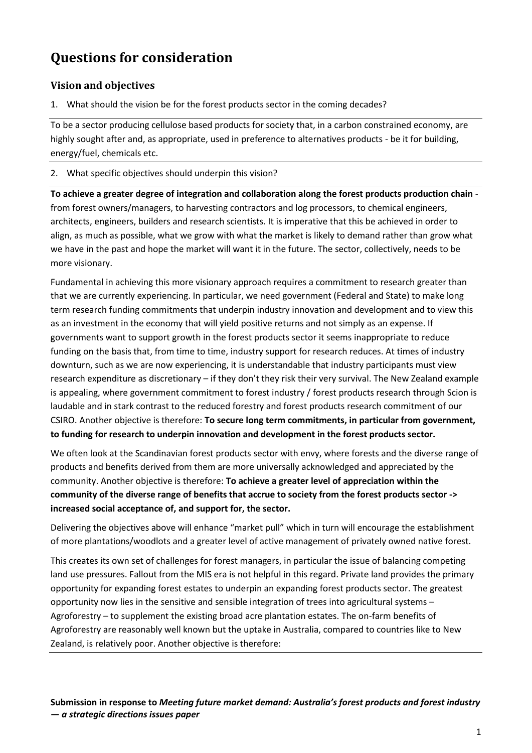# **Questions for consideration**

## **Vision and objectives**

1. What should the vision be for the forest products sector in the coming decades?

To be a sector producing cellulose based products for society that, in a carbon constrained economy, are highly sought after and, as appropriate, used in preference to alternatives products - be it for building, energy/fuel, chemicals etc.

2. What specific objectives should underpin this vision?

**To achieve a greater degree of integration and collaboration along the forest products production chain** from forest owners/managers, to harvesting contractors and log processors, to chemical engineers, architects, engineers, builders and research scientists. It is imperative that this be achieved in order to align, as much as possible, what we grow with what the market is likely to demand rather than grow what we have in the past and hope the market will want it in the future. The sector, collectively, needs to be more visionary.

Fundamental in achieving this more visionary approach requires a commitment to research greater than that we are currently experiencing. In particular, we need government (Federal and State) to make long term research funding commitments that underpin industry innovation and development and to view this as an investment in the economy that will yield positive returns and not simply as an expense. If governments want to support growth in the forest products sector it seems inappropriate to reduce funding on the basis that, from time to time, industry support for research reduces. At times of industry downturn, such as we are now experiencing, it is understandable that industry participants must view research expenditure as discretionary – if they don't they risk their very survival. The New Zealand example is appealing, where government commitment to forest industry / forest products research through Scion is laudable and in stark contrast to the reduced forestry and forest products research commitment of our CSIRO. Another objective is therefore: **To secure long term commitments, in particular from government, to funding for research to underpin innovation and development in the forest products sector.** 

We often look at the Scandinavian forest products sector with envy, where forests and the diverse range of products and benefits derived from them are more universally acknowledged and appreciated by the community. Another objective is therefore: **To achieve a greater level of appreciation within the community of the diverse range of benefits that accrue to society from the forest products sector -> increased social acceptance of, and support for, the sector.** 

Delivering the objectives above will enhance "market pull" which in turn will encourage the establishment of more plantations/woodlots and a greater level of active management of privately owned native forest.

This creates its own set of challenges for forest managers, in particular the issue of balancing competing land use pressures. Fallout from the MIS era is not helpful in this regard. Private land provides the primary opportunity for expanding forest estates to underpin an expanding forest products sector. The greatest opportunity now lies in the sensitive and sensible integration of trees into agricultural systems – Agroforestry – to supplement the existing broad acre plantation estates. The on-farm benefits of Agroforestry are reasonably well known but the uptake in Australia, compared to countries like to New Zealand, is relatively poor. Another objective is therefore: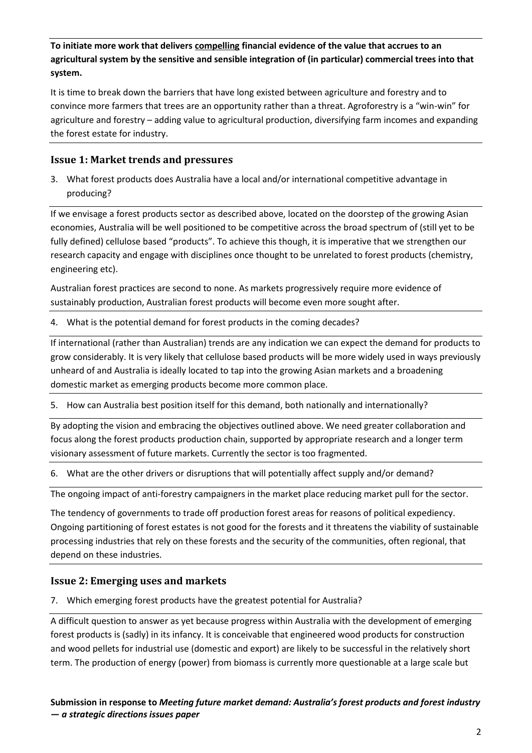**To initiate more work that delivers compelling financial evidence of the value that accrues to an agricultural system by the sensitive and sensible integration of (in particular) commercial trees into that system.** 

It is time to break down the barriers that have long existed between agriculture and forestry and to convince more farmers that trees are an opportunity rather than a threat. Agroforestry is a "win-win" for agriculture and forestry – adding value to agricultural production, diversifying farm incomes and expanding the forest estate for industry.

## **Issue 1: Market trends and pressures**

3. What forest products does Australia have a local and/or international competitive advantage in producing?

If we envisage a forest products sector as described above, located on the doorstep of the growing Asian economies, Australia will be well positioned to be competitive across the broad spectrum of (still yet to be fully defined) cellulose based "products". To achieve this though, it is imperative that we strengthen our research capacity and engage with disciplines once thought to be unrelated to forest products (chemistry, engineering etc).

Australian forest practices are second to none. As markets progressively require more evidence of sustainably production, Australian forest products will become even more sought after.

4. What is the potential demand for forest products in the coming decades?

If international (rather than Australian) trends are any indication we can expect the demand for products to grow considerably. It is very likely that cellulose based products will be more widely used in ways previously unheard of and Australia is ideally located to tap into the growing Asian markets and a broadening domestic market as emerging products become more common place.

5. How can Australia best position itself for this demand, both nationally and internationally?

By adopting the vision and embracing the objectives outlined above. We need greater collaboration and focus along the forest products production chain, supported by appropriate research and a longer term visionary assessment of future markets. Currently the sector is too fragmented.

6. What are the other drivers or disruptions that will potentially affect supply and/or demand?

The ongoing impact of anti-forestry campaigners in the market place reducing market pull for the sector.

The tendency of governments to trade off production forest areas for reasons of political expediency. Ongoing partitioning of forest estates is not good for the forests and it threatens the viability of sustainable processing industries that rely on these forests and the security of the communities, often regional, that depend on these industries.

#### **Issue 2: Emerging uses and markets**

7. Which emerging forest products have the greatest potential for Australia?

A difficult question to answer as yet because progress within Australia with the development of emerging forest products is (sadly) in its infancy. It is conceivable that engineered wood products for construction and wood pellets for industrial use (domestic and export) are likely to be successful in the relatively short term. The production of energy (power) from biomass is currently more questionable at a large scale but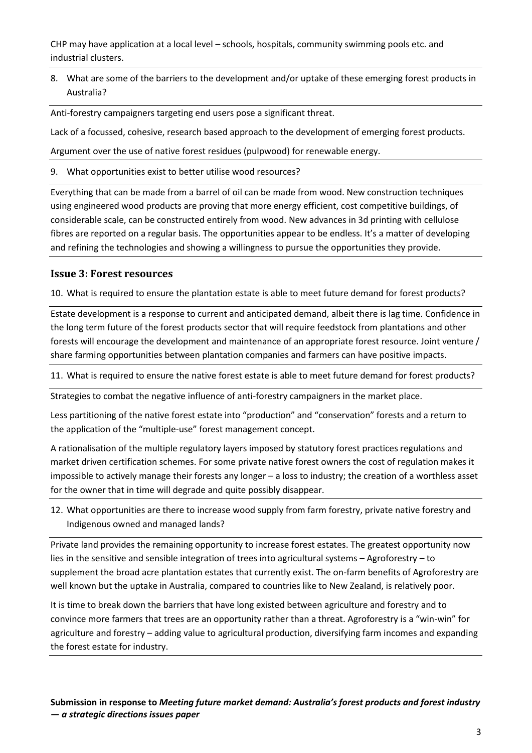CHP may have application at a local level – schools, hospitals, community swimming pools etc. and industrial clusters.

8. What are some of the barriers to the development and/or uptake of these emerging forest products in Australia?

Anti-forestry campaigners targeting end users pose a significant threat.

Lack of a focussed, cohesive, research based approach to the development of emerging forest products.

Argument over the use of native forest residues (pulpwood) for renewable energy.

9. What opportunities exist to better utilise wood resources?

Everything that can be made from a barrel of oil can be made from wood. New construction techniques using engineered wood products are proving that more energy efficient, cost competitive buildings, of considerable scale, can be constructed entirely from wood. New advances in 3d printing with cellulose fibres are reported on a regular basis. The opportunities appear to be endless. It's a matter of developing and refining the technologies and showing a willingness to pursue the opportunities they provide.

#### **Issue 3: Forest resources**

10. What is required to ensure the plantation estate is able to meet future demand for forest products?

Estate development is a response to current and anticipated demand, albeit there is lag time. Confidence in the long term future of the forest products sector that will require feedstock from plantations and other forests will encourage the development and maintenance of an appropriate forest resource. Joint venture / share farming opportunities between plantation companies and farmers can have positive impacts.

11. What is required to ensure the native forest estate is able to meet future demand for forest products?

Strategies to combat the negative influence of anti-forestry campaigners in the market place.

Less partitioning of the native forest estate into "production" and "conservation" forests and a return to the application of the "multiple-use" forest management concept.

A rationalisation of the multiple regulatory layers imposed by statutory forest practices regulations and market driven certification schemes. For some private native forest owners the cost of regulation makes it impossible to actively manage their forests any longer – a loss to industry; the creation of a worthless asset for the owner that in time will degrade and quite possibly disappear.

12. What opportunities are there to increase wood supply from farm forestry, private native forestry and Indigenous owned and managed lands?

Private land provides the remaining opportunity to increase forest estates. The greatest opportunity now lies in the sensitive and sensible integration of trees into agricultural systems – Agroforestry – to supplement the broad acre plantation estates that currently exist. The on-farm benefits of Agroforestry are well known but the uptake in Australia, compared to countries like to New Zealand, is relatively poor.

It is time to break down the barriers that have long existed between agriculture and forestry and to convince more farmers that trees are an opportunity rather than a threat. Agroforestry is a "win-win" for agriculture and forestry – adding value to agricultural production, diversifying farm incomes and expanding the forest estate for industry.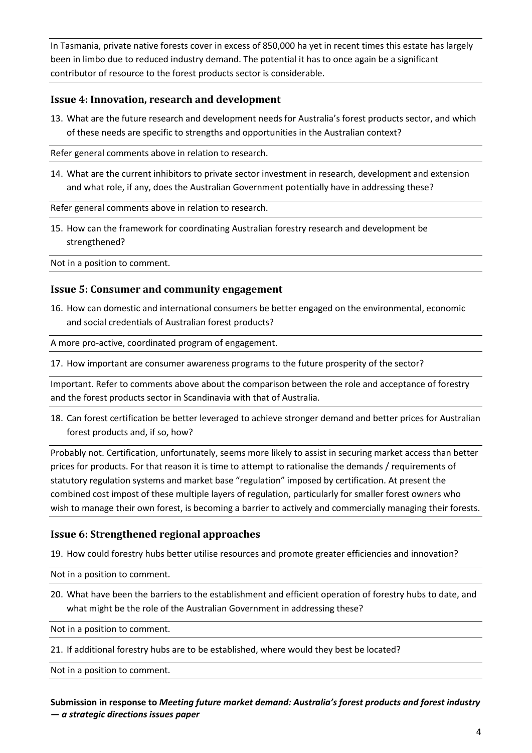In Tasmania, private native forests cover in excess of 850,000 ha yet in recent times this estate has largely been in limbo due to reduced industry demand. The potential it has to once again be a significant contributor of resource to the forest products sector is considerable.

### **Issue 4: Innovation, research and development**

13. What are the future research and development needs for Australia's forest products sector, and which of these needs are specific to strengths and opportunities in the Australian context?

Refer general comments above in relation to research.

14. What are the current inhibitors to private sector investment in research, development and extension and what role, if any, does the Australian Government potentially have in addressing these?

Refer general comments above in relation to research.

15. How can the framework for coordinating Australian forestry research and development be strengthened?

Not in a position to comment.

#### **Issue 5: Consumer and community engagement**

16. How can domestic and international consumers be better engaged on the environmental, economic and social credentials of Australian forest products?

A more pro-active, coordinated program of engagement.

17. How important are consumer awareness programs to the future prosperity of the sector?

Important. Refer to comments above about the comparison between the role and acceptance of forestry and the forest products sector in Scandinavia with that of Australia.

18. Can forest certification be better leveraged to achieve stronger demand and better prices for Australian forest products and, if so, how?

Probably not. Certification, unfortunately, seems more likely to assist in securing market access than better prices for products. For that reason it is time to attempt to rationalise the demands / requirements of statutory regulation systems and market base "regulation" imposed by certification. At present the combined cost impost of these multiple layers of regulation, particularly for smaller forest owners who wish to manage their own forest, is becoming a barrier to actively and commercially managing their forests.

#### **Issue 6: Strengthened regional approaches**

19. How could forestry hubs better utilise resources and promote greater efficiencies and innovation?

Not in a position to comment.

20. What have been the barriers to the establishment and efficient operation of forestry hubs to date, and what might be the role of the Australian Government in addressing these?

Not in a position to comment.

21. If additional forestry hubs are to be established, where would they best be located?

Not in a position to comment.